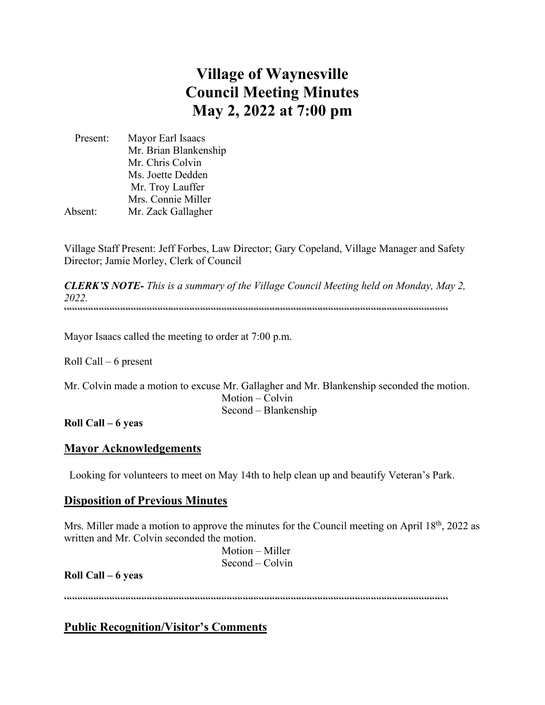# **Village of Waynesville Council Meeting Minutes May 2, 2022 at 7:00 pm**

 Present: Mayor Earl Isaacs Mr. Brian Blankenship Mr. Chris Colvin Ms. Joette Dedden Mr. Troy Lauffer Mrs. Connie Miller Absent: Mr. Zack Gallagher

Village Staff Present: Jeff Forbes, Law Director; Gary Copeland, Village Manager and Safety Director; Jamie Morley, Clerk of Council

*CLERK'S NOTE- This is a summary of the Village Council Meeting held on Monday, May 2, 2022.*   $\label{prop:main}$ 

Mayor Isaacs called the meeting to order at 7:00 p.m.

Roll Call – 6 present

Mr. Colvin made a motion to excuse Mr. Gallagher and Mr. Blankenship seconded the motion. Motion – Colvin Second – Blankenship

**Roll Call – 6 yeas**

## **Mayor Acknowledgements**

Looking for volunteers to meet on May 14th to help clean up and beautify Veteran's Park.

## **Disposition of Previous Minutes**

Mrs. Miller made a motion to approve the minutes for the Council meeting on April 18<sup>th</sup>, 2022 as written and Mr. Colvin seconded the motion.

> Motion – Miller Second – Colvin

**Roll Call – 6 yeas**

""""""""""""""""""""""""""""""""""""""""""""""""""""""""""""""""""""""""

**Public Recognition/Visitor's Comments**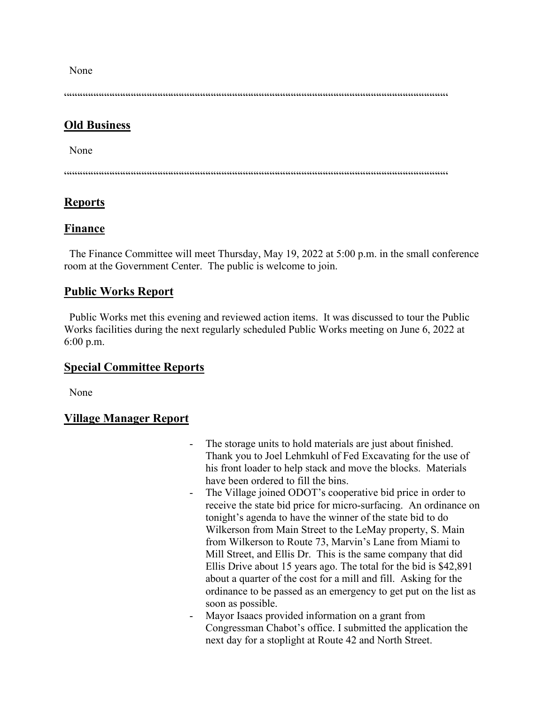None

""""""""""""""""""""""""""""""""""""""""""""""""""""""""""""""""""""""""

# **Old Business**

None

 $\label{prop:main} \hspace{1.5cm} \hspace{1.5cm} \hspace{1.5cm} \hspace{1.5cm} \hspace{1.5cm} \hspace{1.5cm} \hspace{1.5cm} \hspace{1.5cm} \hspace{1.5cm} \hspace{1.5cm} \hspace{1.5cm} \hspace{1.5cm} \hspace{1.5cm} \hspace{1.5cm} \hspace{1.5cm} \hspace{1.5cm} \hspace{1.5cm} \hspace{1.5cm} \hspace{1.5cm} \hspace{1.5cm} \hspace{1.5cm} \hspace{1.5cm} \hspace{1.5cm} \hspace{1.$ 

# **Reports**

## **Finance**

 The Finance Committee will meet Thursday, May 19, 2022 at 5:00 p.m. in the small conference room at the Government Center. The public is welcome to join.

#### **Public Works Report**

 Public Works met this evening and reviewed action items. It was discussed to tour the Public Works facilities during the next regularly scheduled Public Works meeting on June 6, 2022 at 6:00 p.m.

## **Special Committee Reports**

None

## **Village Manager Report**

- The storage units to hold materials are just about finished. Thank you to Joel Lehmkuhl of Fed Excavating for the use of his front loader to help stack and move the blocks. Materials have been ordered to fill the bins.
- The Village joined ODOT's cooperative bid price in order to receive the state bid price for micro-surfacing. An ordinance on tonight's agenda to have the winner of the state bid to do Wilkerson from Main Street to the LeMay property, S. Main from Wilkerson to Route 73, Marvin's Lane from Miami to Mill Street, and Ellis Dr. This is the same company that did Ellis Drive about 15 years ago. The total for the bid is \$42,891 about a quarter of the cost for a mill and fill. Asking for the ordinance to be passed as an emergency to get put on the list as soon as possible.
- Mayor Isaacs provided information on a grant from Congressman Chabot's office. I submitted the application the next day for a stoplight at Route 42 and North Street.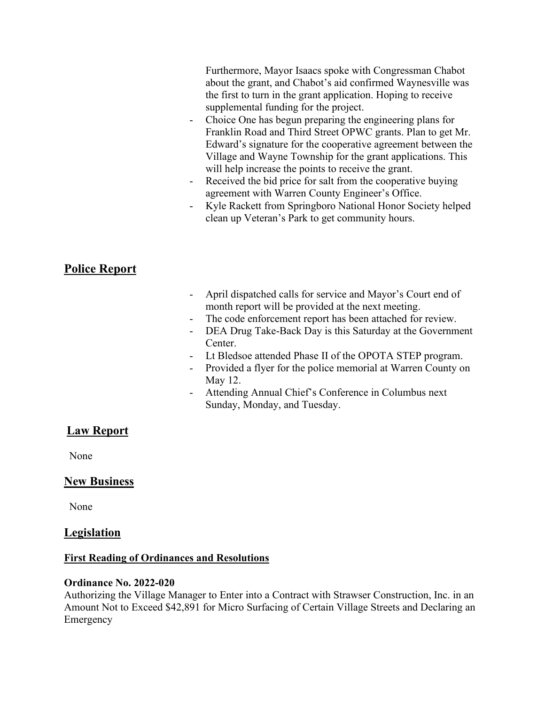| Furthermore, Mayor Isaacs spoke with Congressman Chabot<br>about the grant, and Chabot's aid confirmed Waynesville was |
|------------------------------------------------------------------------------------------------------------------------|
| the first to turn in the grant application. Hoping to receive                                                          |
| supplemental funding for the project.                                                                                  |
| - Choice One has begun preparing the engineering plans for                                                             |
| Franklin Road and Third Street OPWC grants. Plan to get Mr.                                                            |
| Edward's signature for the cooperative agreement between the                                                           |
| Village and Wayne Township for the grant applications. This                                                            |
| will help increase the points to receive the grant.                                                                    |
| - Received the bid price for salt from the cooperative buying                                                          |
| agreement with Warren County Engineer's Office.                                                                        |
| - Kyle Rackett from Springboro National Honor Society helped                                                           |
| clean up Veteran's Park to get community hours.                                                                        |

# **Police Report**

- April dispatched calls for service and Mayor's Court end of month report will be provided at the next meeting.
- The code enforcement report has been attached for review.
- DEA Drug Take-Back Day is this Saturday at the Government Center.
- Lt Bledsoe attended Phase II of the OPOTA STEP program.
- Provided a flyer for the police memorial at Warren County on May 12.
- Attending Annual Chief's Conference in Columbus next Sunday, Monday, and Tuesday.

# **Law Report**

None

# **New Business**

None

# **Legislation**

# **First Reading of Ordinances and Resolutions**

## **Ordinance No. 2022-020**

Authorizing the Village Manager to Enter into a Contract with Strawser Construction, Inc. in an Amount Not to Exceed \$42,891 for Micro Surfacing of Certain Village Streets and Declaring an Emergency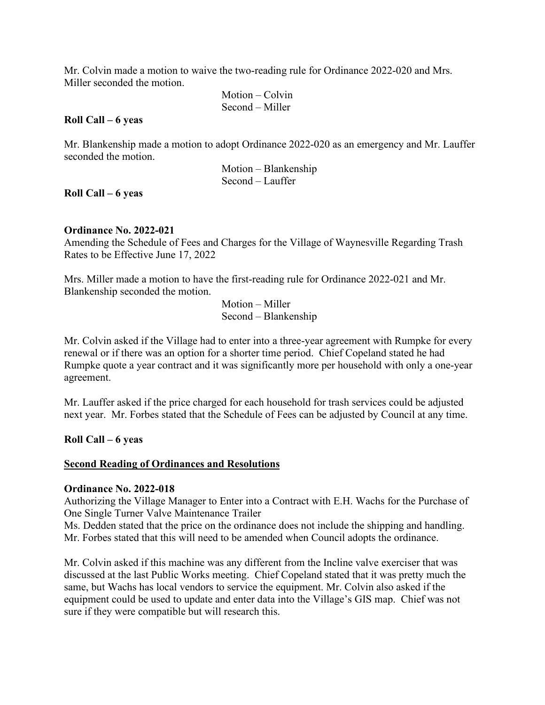Mr. Colvin made a motion to waive the two-reading rule for Ordinance 2022-020 and Mrs. Miller seconded the motion.

> Motion – Colvin Second – Miller

#### **Roll Call – 6 yeas**

Mr. Blankenship made a motion to adopt Ordinance 2022-020 as an emergency and Mr. Lauffer seconded the motion.

> Motion – Blankenship Second – Lauffer

#### **Roll Call – 6 yeas**

#### **Ordinance No. 2022-021**

Amending the Schedule of Fees and Charges for the Village of Waynesville Regarding Trash Rates to be Effective June 17, 2022

Mrs. Miller made a motion to have the first-reading rule for Ordinance 2022-021 and Mr. Blankenship seconded the motion.

> Motion – Miller Second – Blankenship

Mr. Colvin asked if the Village had to enter into a three-year agreement with Rumpke for every renewal or if there was an option for a shorter time period. Chief Copeland stated he had Rumpke quote a year contract and it was significantly more per household with only a one-year agreement.

Mr. Lauffer asked if the price charged for each household for trash services could be adjusted next year. Mr. Forbes stated that the Schedule of Fees can be adjusted by Council at any time.

**Roll Call – 6 yeas** 

#### **Second Reading of Ordinances and Resolutions**

#### **Ordinance No. 2022-018**

Authorizing the Village Manager to Enter into a Contract with E.H. Wachs for the Purchase of One Single Turner Valve Maintenance Trailer

Ms. Dedden stated that the price on the ordinance does not include the shipping and handling. Mr. Forbes stated that this will need to be amended when Council adopts the ordinance.

Mr. Colvin asked if this machine was any different from the Incline valve exerciser that was discussed at the last Public Works meeting. Chief Copeland stated that it was pretty much the same, but Wachs has local vendors to service the equipment. Mr. Colvin also asked if the equipment could be used to update and enter data into the Village's GIS map. Chief was not sure if they were compatible but will research this.